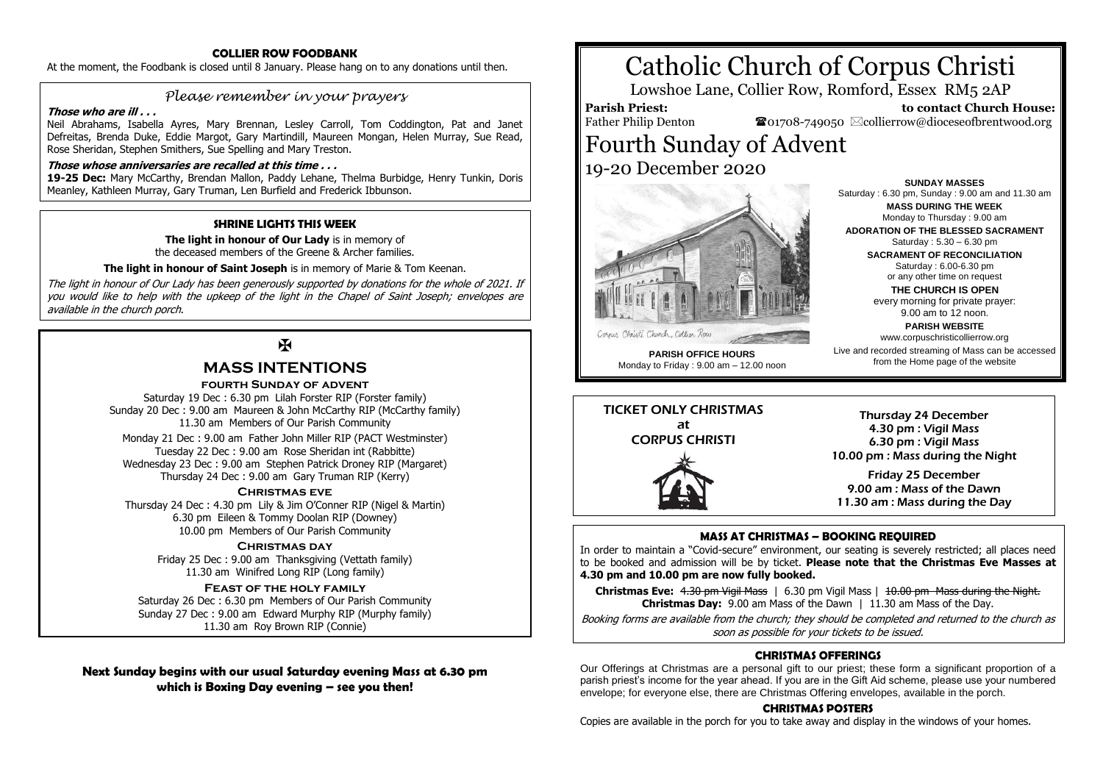# **COLLIER ROW FOODBANK**

At the moment, the Foodbank is closed until 8 January. Please hang on to any donations until then.

# *Please remember in your prayers*

#### **Those who are ill . . .**

Neil Abrahams, Isabella Ayres, Mary Brennan, Lesley Carroll, Tom Coddington, Pat and Janet Defreitas, Brenda Duke, Eddie Margot, Gary Martindill, Maureen Mongan, Helen Murray, Sue Read, Rose Sheridan, Stephen Smithers, Sue Spelling and Mary Treston.

### **Those whose anniversaries are recalled at this time . . .**

**19-25 Dec:** Mary McCarthy, Brendan Mallon, Paddy Lehane, Thelma Burbidge, Henry Tunkin, Doris Meanley, Kathleen Murray, Gary Truman, Len Burfield and Frederick Ibbunson.

## **SHRINE LIGHTS THIS WEEK**

**The light in honour of Our Lady** is in memory of the deceased members of the Greene & Archer families.

**The light in honour of Saint Joseph** is in memory of Marie & Tom Keenan.

The light in honour of Our Lady has been generously supported by donations for the whole of 2021. If you would like to help with the upkeep of the light in the Chapel of Saint Joseph; envelopes are available in the church porch.

# $\mathbf{F}$

# **MASS INTENTIONS**

# **fourth Sunday of advent**

Saturday 19 Dec : 6.30 pm Lilah Forster RIP (Forster family) Sunday 20 Dec : 9.00 am Maureen & John McCarthy RIP (McCarthy family) 11.30 am Members of Our Parish Community Monday 21 Dec : 9.00 am Father John Miller RIP (PACT Westminster) Tuesday 22 Dec : 9.00 am Rose Sheridan int (Rabbitte) Wednesday 23 Dec : 9.00 am Stephen Patrick Droney RIP (Margaret) Thursday 24 Dec : 9.00 am Gary Truman RIP (Kerry)

### **Christmas eve**

Thursday 24 Dec : 4.30 pm Lily & Jim O'Conner RIP (Nigel & Martin) 6.30 pm Eileen & Tommy Doolan RIP (Downey) 10.00 pm Members of Our Parish Community

#### **Christmas day**

Friday 25 Dec : 9.00 am Thanksgiving (Vettath family) 11.30 am Winifred Long RIP (Long family)

### **Feast of the holy family**

Saturday 26 Dec : 6.30 pm Members of Our Parish Community Sunday 27 Dec : 9.00 am Edward Murphy RIP (Murphy family) 11.30 am Roy Brown RIP (Connie)

**Next Sunday begins with our usual Saturday evening Mass at 6.30 pm which is Boxing Day evening – see you then!**

# Catholic Church of Corpus Christi

Lowshoe Lane, Collier Row, Romford, Essex RM5 2AP

# **Parish Priest:**

Father Philip Denton

 **to contact Church House:**  $\bullet$ 01708-749050  $\boxtimes$ collierrow@dioceseofbrentwood.org

> **SUNDAY MASSES** Saturday : 6.30 pm, Sunday : 9.00 am and 11.30 am **MASS DURING THE WEEK** Monday to Thursday : 9.00 am **ADORATION OF THE BLESSED SACRAMENT** Saturday : 5.30 – 6.30 pm **SACRAMENT OF RECONCILIATION** Saturday : 6.00-6.30 pm or any other time on request **THE CHURCH IS OPEN** every morning for private prayer: 9.00 am to 12 noon. **PARISH WEBSITE** www.corpuschristicollierrow.org Live and recorded streaming of Mass can be accessed from the Home page of the website

# Fourth Sunday of Advent 19-20 December 2020



**PARISH OFFICE HOURS** Monday to Friday : 9.00 am – 12.00 noon

TICKET ONLY CHRISTMAS at CORPUS CHRISTI



Thursday 24 December 4.30 pm : Vigil Mass 6.30 pm : Vigil Mass 10.00 pm : Mass during the Night

Friday 25 December 9.00 am : Mass of the Dawn 11.30 am : Mass during the Day

## **MASS AT CHRISTMAS – BOOKING REQUIRED**

In order to maintain a "Covid-secure" environment, our seating is severely restricted; all places need to be booked and admission will be by ticket. **Please note that the Christmas Eve Masses at 4.30 pm and 10.00 pm are now fully booked.**

**Christmas Eve:** 4.30 pm Vigil Mass | 6.30 pm Vigil Mass | 10.00 pm Mass during the Night. **Christmas Day:** 9.00 am Mass of the Dawn 1 11.30 am Mass of the Day.

Booking forms are available from the church; they should be completed and returned to the church as soon as possible for your tickets to be issued.

# **CHRISTMAS OFFERINGS**

Our Offerings at Christmas are a personal gift to our priest; these form a significant proportion of a parish priest's income for the year ahead. If you are in the Gift Aid scheme, please use your numbered envelope; for everyone else, there are Christmas Offering envelopes, available in the porch.

## **CHRISTMAS POSTERS**

Copies are available in the porch for you to take away and display in the windows of your homes.